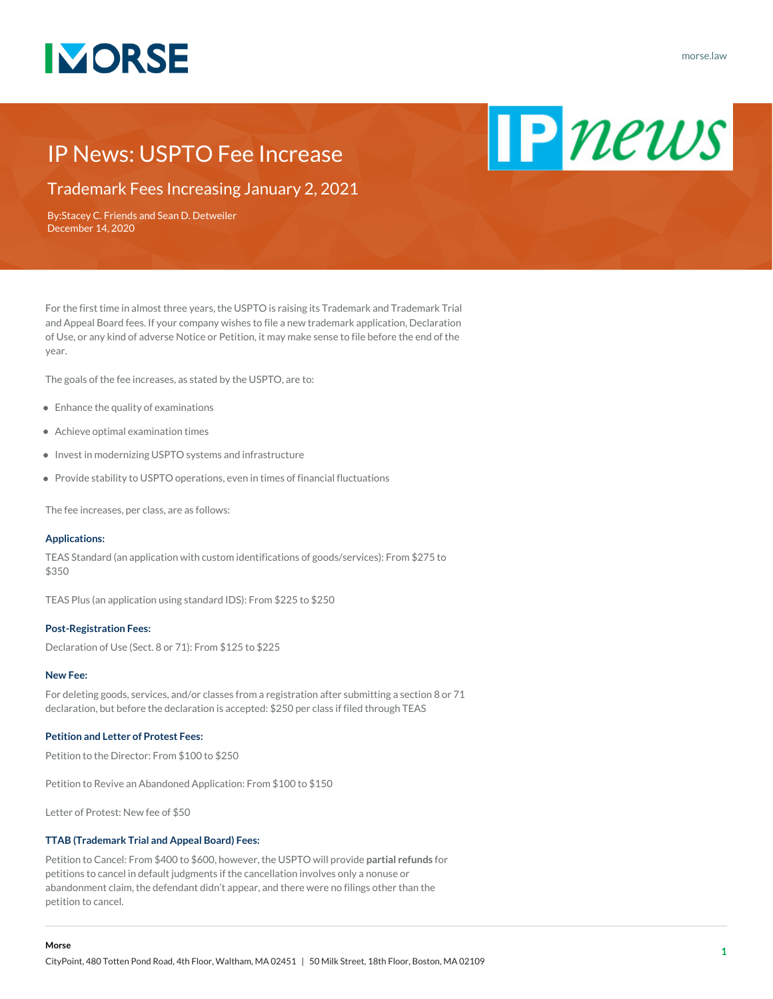

 $\mathbf{P}$  news

# IP News: USPTO Fee Increase

Trademark Fees Increasing January 2, 2021

By:[Stacey C. Friends](https://www.morse.law/attorney/stacey-friends/) and [Sean D. Detweiler](https://www.morse.law/attorney/sean-detweiler/) December 14, 2020

For the first time in almost three years, the USPTO is raising its Trademark and Trademark Trial and Appeal Board fees. If your company wishes to file a new trademark application, Declaration of Use, or any kind of adverse Notice or Petition, it may make sense to file before the end of the year.

The goals of the fee increases, as stated by the USPTO, are to:

- Enhance the quality of examinations
- Achieve optimal examination times
- $\bullet$  Invest in modernizing USPTO systems and infrastructure
- Provide stability to USPTO operations, even in times of financial fluctuations

The fee increases, per class, are as follows:

## **Applications:**

TEAS Standard (an application with custom identifications of goods/services): From \$275 to \$350

TEAS Plus (an application using standard IDS): From \$225 to \$250

# **Post-Registration Fees:**

Declaration of Use (Sect. 8 or 71): From \$125 to \$225

#### **New Fee:**

For deleting goods, services, and/or classes from a registration after submitting a section 8 or 71 declaration, but before the declaration is accepted: \$250 per class if filed through TEAS

# **Petition and Letter of Protest Fees:**

Petition to the Director: From \$100 to \$250

Petition to Revive an Abandoned Application: From \$100 to \$150

Letter of Protest: New fee of \$50

## **TTAB (Trademark Trial and Appeal Board) Fees:**

Petition to Cancel: From \$400 to \$600, however, the USPTO will provide **partial refunds** for petitions to cancel in default judgments if the cancellation involves only a nonuse or abandonment claim, the defendant didn't appear, and there were no filings other than the petition to cancel.

### **Morse**